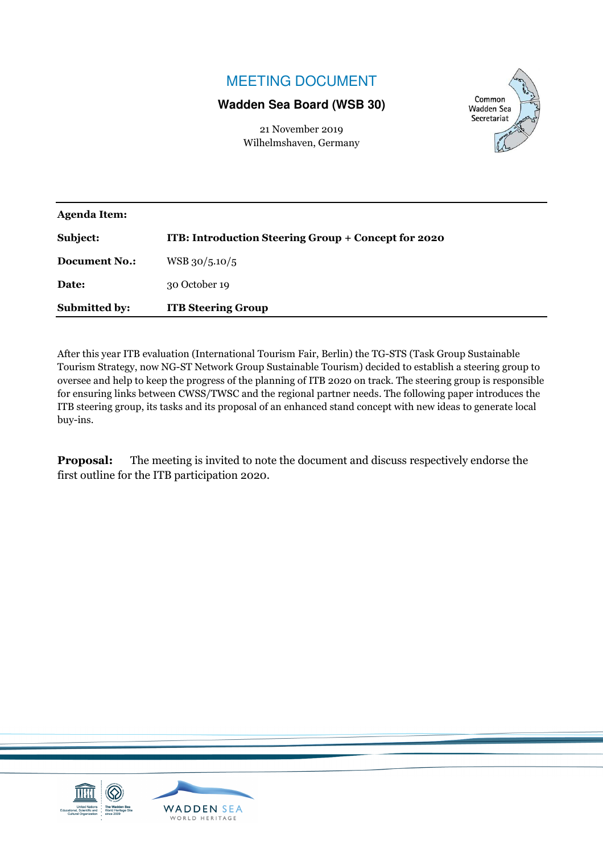# MEETING DOCUMENT

# **Wadden Sea Board (WSB 30)**

21 November 2019 Wilhelmshaven, Germany



| <b>Submitted by:</b> | <b>ITB Steering Group</b>                           |
|----------------------|-----------------------------------------------------|
| Date:                | 30 October 19                                       |
| <b>Document No.:</b> | WSB 30/5.10/5                                       |
| Subject:             | ITB: Introduction Steering Group + Concept for 2020 |
| <b>Agenda Item:</b>  |                                                     |

After this year ITB evaluation (International Tourism Fair, Berlin) the TG-STS (Task Group Sustainable Tourism Strategy, now NG-ST Network Group Sustainable Tourism) decided to establish a steering group to oversee and help to keep the progress of the planning of ITB 2020 on track. The steering group is responsible for ensuring links between CWSS/TWSC and the regional partner needs. The following paper introduces the ITB steering group, its tasks and its proposal of an enhanced stand concept with new ideas to generate local buy-ins.

**Proposal:** The meeting is invited to note the document and discuss respectively endorse the first outline for the ITB participation 2020.

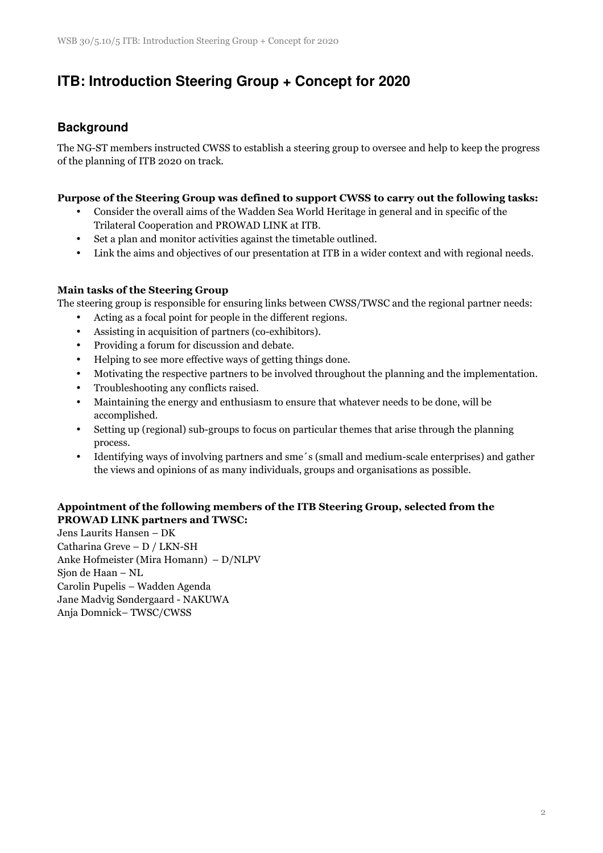# **ITB: Introduction Steering Group + Concept for 2020**

# **Background**

The NG-ST members instructed CWSS to establish a steering group to oversee and help to keep the progress of the planning of ITB 2020 on track.

## **Purpose of the Steering Group was defined to support CWSS to carry out the following tasks:**

- Consider the overall aims of the Wadden Sea World Heritage in general and in specific of the Trilateral Cooperation and PROWAD LINK at ITB.
- Set a plan and monitor activities against the timetable outlined.
- Link the aims and objectives of our presentation at ITB in a wider context and with regional needs.

## **Main tasks of the Steering Group**

The steering group is responsible for ensuring links between CWSS/TWSC and the regional partner needs:

- Acting as a focal point for people in the different regions.
- Assisting in acquisition of partners (co-exhibitors).
- Providing a forum for discussion and debate.
- Helping to see more effective ways of getting things done.
- Motivating the respective partners to be involved throughout the planning and the implementation.
- Troubleshooting any conflicts raised.
- Maintaining the energy and enthusiasm to ensure that whatever needs to be done, will be accomplished.
- Setting up (regional) sub-groups to focus on particular themes that arise through the planning process.
- Identifying ways of involving partners and sme´s (small and medium-scale enterprises) and gather the views and opinions of as many individuals, groups and organisations as possible.

# **Appointment of the following members of the ITB Steering Group, selected from the PROWAD LINK partners and TWSC:**

Jens Laurits Hansen – DK Catharina Greve – D / LKN-SH Anke Hofmeister (Mira Homann) – D/NLPV Sjon de Haan – NL Carolin Pupelis – Wadden Agenda Jane Madvig Søndergaard - NAKUWA Anja Domnick– TWSC/CWSS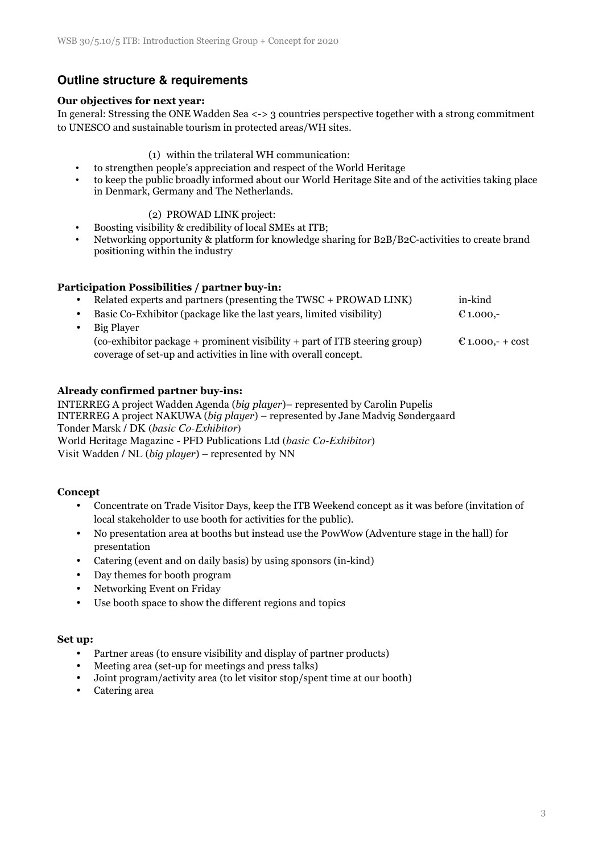# **Outline structure & requirements**

## **Our objectives for next year:**

In general: Stressing the ONE Wadden Sea <-> 3 countries perspective together with a strong commitment to UNESCO and sustainable tourism in protected areas/WH sites.

#### (1) within the trilateral WH communication:

- to strengthen people's appreciation and respect of the World Heritage
- to keep the public broadly informed about our World Heritage Site and of the activities taking place in Denmark, Germany and The Netherlands.

#### (2) PROWAD LINK project:

- Boosting visibility & credibility of local SMEs at ITB;
- Networking opportunity & platform for knowledge sharing for B2B/B2C-activities to create brand positioning within the industry

#### **Participation Possibilities / partner buy-in:**

| $\bullet$ | Related experts and partners (presenting the TWSC + PROWAD LINK)             | in-kind                    |
|-----------|------------------------------------------------------------------------------|----------------------------|
| $\bullet$ | Basic Co-Exhibitor (package like the last years, limited visibility)         | € 1.000,-                  |
| $\bullet$ | Big Player                                                                   |                            |
|           | $(co-exhibitor package + prominent visibility + part of ITB steering group)$ | € 1.000, $- + \text{cost}$ |
|           | coverage of set-up and activities in line with overall concept.              |                            |

#### **Already confirmed partner buy-ins:**

INTERREG A project Wadden Agenda (*big player*)– represented by Carolin Pupelis INTERREG A project NAKUWA (*big player*) – represented by Jane Madvig Søndergaard Tonder Marsk / DK (*basic Co-Exhibitor*) World Heritage Magazine - PFD Publications Ltd (*basic Co-Exhibitor*) Visit Wadden / NL (*big player*) – represented by NN

## **Concept**

- Concentrate on Trade Visitor Days, keep the ITB Weekend concept as it was before (invitation of local stakeholder to use booth for activities for the public).
- No presentation area at booths but instead use the PowWow (Adventure stage in the hall) for presentation
- Catering (event and on daily basis) by using sponsors (in-kind)
- Day themes for booth program
- Networking Event on Friday
- Use booth space to show the different regions and topics

#### **Set up:**

- Partner areas (to ensure visibility and display of partner products)
- Meeting area (set-up for meetings and press talks)
- Joint program/activity area (to let visitor stop/spent time at our booth)
- Catering area